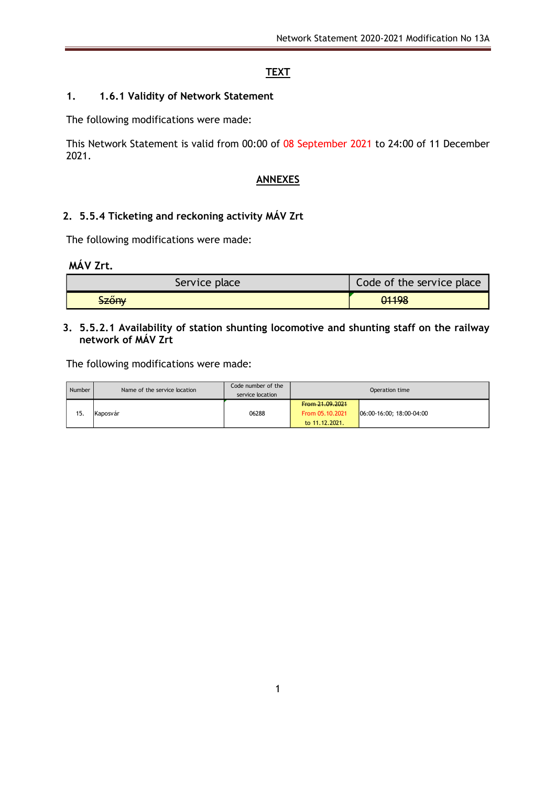## **TEXT**

### **1. 1.6.1 Validity of Network Statement**

The following modifications were made:

This Network Statement is valid from 00:00 of 08 September 2021 to 24:00 of 11 December 2021.

### **ANNEXES**

## **2. 5.5.4 Ticketing and reckoning activity MÁV Zrt**

The following modifications were made:

**MÁV Zrt.**

| Service place | Code of the service place |
|---------------|---------------------------|
| <b>Szőny</b>  | 01198                     |

#### **3. 5.5.2.1 Availability of station shunting locomotive and shunting staff on the railway network of MÁV Zrt**

The following modifications were made:

| Number | Name of the service location | Code number of the<br>service location | Operation time                                       |                            |  |  |  |
|--------|------------------------------|----------------------------------------|------------------------------------------------------|----------------------------|--|--|--|
| 15.    | Kaposvár                     | 06288                                  | From 21.09.2021<br>From 05.10.2021<br>to 11.12.2021. | $06:00-16:00; 18:00-04:00$ |  |  |  |